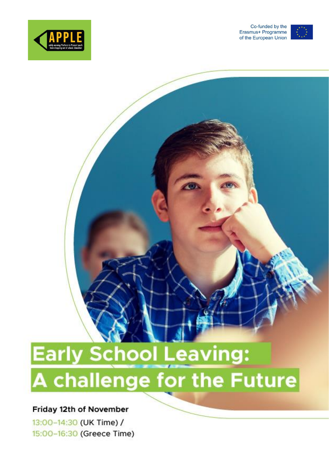



# **Early School Leaving:** A challenge for the Future

## Friday 12th of November

13:00-14:30 (UK Time) / 15:00-16:30 (Greece Time)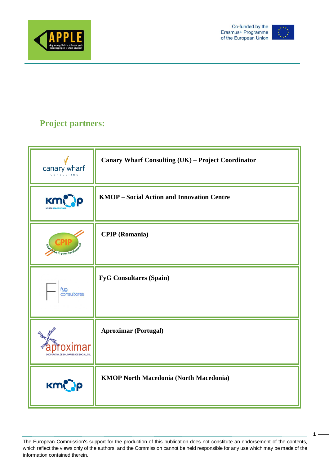



**1**

# **Project partners:**

| canary wharf<br>CONSULTING                     | Canary Wharf Consulting (UK) - Project Coordinator |
|------------------------------------------------|----------------------------------------------------|
| Km                                             | <b>KMOP</b> – Social Action and Innovation Centre  |
| d to your devel                                | <b>CPIP</b> (Romania)                              |
| fyg<br>consultores                             | <b>FyG Consultares (Spain)</b>                     |
| <b>COPERATIVA DE SOLIDARIEDADE SOCIAL, CRI</b> | <b>Aproximar (Portugal)</b>                        |
| KMCOP                                          | <b>KMOP North Macedonia (North Macedonia)</b>      |

The European Commission's support for the production of this publication does not constitute an endorsement of the contents, which reflect the views only of the authors, and the Commission cannot be held responsible for any use which may be made of the information contained therein.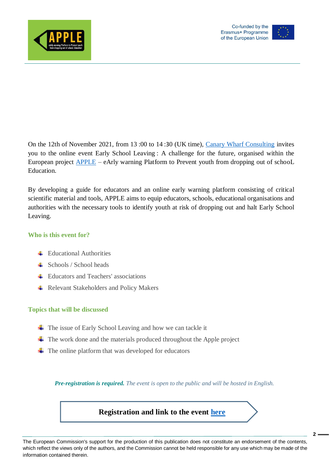



**2**

On the 12th of November 2021, from 13 :00 to 14 :30 (UK time), [Canary Wharf Consulting](https://www.canarywharf-consulting.com/) invites you to the online event Early School Leaving : A challenge for the future, organised within the European project [APPLE](https://www.appleproject.eu/) – eArly warning Platform to Prevent youth from dropping out of schooL Education.

By developing a guide for educators and an online early warning platform consisting of critical scientific material and tools, APPLE aims to equip educators, schools, educational organisations and authorities with the necessary tools to identify youth at risk of dropping out and halt Early School Leaving.

## **Who is this event for?**

- $\pm$  Educational Authorities
- $\leftarrow$  Schools / School heads
- **Educators and Teachers' associations**
- **← Relevant Stakeholders and Policy Makers**

#### **Topics that will be discussed**

- $\overline{\text{I}}$  The issue of Early School Leaving and how we can tackle it
- $\overline{\text{I}}$  The work done and the materials produced throughout the Apple project
- $\overline{\textbf{I}}$  The online platform that was developed for educators

*Pre-registration is required. The event is open to the public and will be hosted in English.* 

**Registration and link to the event [here](https://us02web.zoom.us/meeting/register/tZMsdO2orToiGNbGfS4hD4fva1kodytwbsc-)**

The European Commission's support for the production of this publication does not constitute an endorsement of the contents, which reflect the views only of the authors, and the Commission cannot be held responsible for any use which may be made of the information contained therein.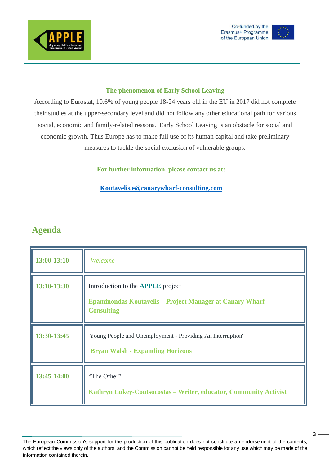





## **The phenomenon of Early School Leaving**

According to Eurostat, 10.6% of young people 18-24 years old in the EU in 2017 did not complete their studies at the upper-secondary level and did not follow any other educational path for various social, economic and family-related reasons. Early School Leaving is an obstacle for social and economic growth. Thus Europe has to make full use of its human capital and take preliminary measures to tackle the social exclusion of vulnerable groups.

**For further information, please contact us at:**

## **[Koutavelis.e@canarywharf-consulting.com](mailto:Koutavelis.e@canarywharf-consulting.com)**

# **Agenda**

| 13:00-13:10 | Welcome                                                                                                                          |
|-------------|----------------------------------------------------------------------------------------------------------------------------------|
| 13:10-13:30 | Introduction to the <b>APPLE</b> project<br><b>Epaminondas Koutavelis – Project Manager at Canary Wharf</b><br><b>Consulting</b> |
| 13:30-13:45 | 'Young People and Unemployment - Providing An Interruption'<br><b>Bryan Walsh - Expanding Horizons</b>                           |
| 13:45-14:00 | "The Other"<br>Kathryn Lukey-Coutsocostas - Writer, educator, Community Activist                                                 |

The European Commission's support for the production of this publication does not constitute an endorsement of the contents, which reflect the views only of the authors, and the Commission cannot be held responsible for any use which may be made of the information contained therein.